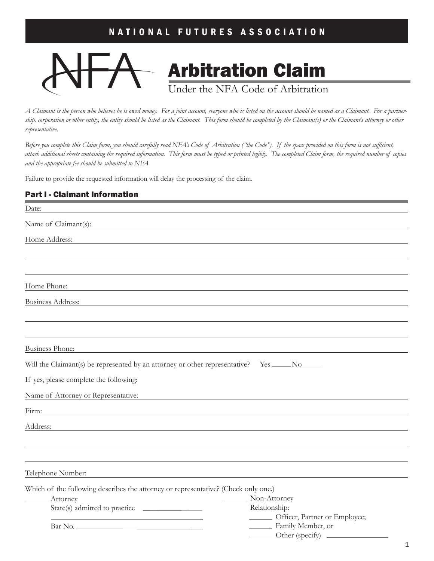

*A Claimant is the person who believes he is owed money. For a joint account, everyone who is listed on the account should be named as a Claimant. For a partnership, corporation or other entity, the entity should be listed as the Claimant. This form should be completed by the Claimant(s) or the Claimant's attorney or other representative.* 

*Before you complete this Claim form, you should carefully read NFA's Code of Arbitration ("the Code"). If the space provided on this form is not sufficient, attach additional sheets containing the required information. This form must be typed or printed legibly. The completed Claim form, the required number of copies and the appropriate fee should be submitted to NFA.* 

Failure to provide the requested information will delay the processing of the claim.

### Part l - Claimant Information

| Date:                                                                                                                         |                                                  |
|-------------------------------------------------------------------------------------------------------------------------------|--------------------------------------------------|
| Name of Claimant(s):<br>the control of the control of the control of the control of the control of the control of             |                                                  |
| Home Address:                                                                                                                 |                                                  |
|                                                                                                                               |                                                  |
|                                                                                                                               |                                                  |
|                                                                                                                               |                                                  |
| Home Phone:                                                                                                                   |                                                  |
| <b>Business Address:</b>                                                                                                      |                                                  |
|                                                                                                                               |                                                  |
|                                                                                                                               |                                                  |
| <b>Business Phone:</b>                                                                                                        |                                                  |
| Will the Claimant(s) be represented by an attorney or other representative? Yes _____ No _____                                |                                                  |
| If yes, please complete the following:                                                                                        |                                                  |
| Name of Attorney or Representative:                                                                                           |                                                  |
| Firm:<br><u> 1989 - Johann Stein, marwolaethau a bhann an t-Amhair ann an t-Amhair an t-Amhair an t-Amhair an t-Amhair an</u> |                                                  |
| Address:                                                                                                                      |                                                  |
|                                                                                                                               |                                                  |
|                                                                                                                               |                                                  |
| Telephone Number:                                                                                                             |                                                  |
|                                                                                                                               |                                                  |
| Which of the following describes the attorney or representative? (Check only one.)                                            |                                                  |
| Attorney                                                                                                                      | Non-Attorney                                     |
| State(s) admitted to practice __________________                                                                              | Relationship:<br>- Officer, Partner or Employee; |
|                                                                                                                               | Family Member, or                                |
|                                                                                                                               | Other (specify)                                  |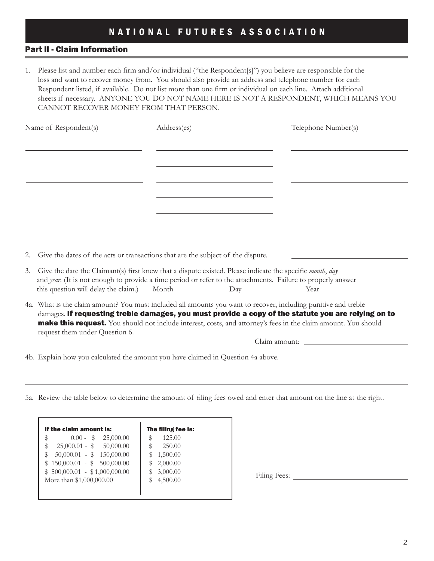### Part ll - Claim Information

1. Please list and number each firm and/or individual ("the Respondent[s]") you believe are responsible for the loss and want to recover money from. You should also provide an address and telephone number for each Respondent listed, if available. Do not list more than one firm or individual on each line. Attach additional sheets if necessary. ANYONE YOU DO NOT NAME HERE IS NOT A RESPONDENT, WHICH MEANS YOU CANNOT RECOVER MONEY FROM THAT PERSON.

| Name of Respondent(s) |                                                                                                                                                                                                                                                                           | Address(es) | Telephone Number(s)                                                                                 |  |
|-----------------------|---------------------------------------------------------------------------------------------------------------------------------------------------------------------------------------------------------------------------------------------------------------------------|-------------|-----------------------------------------------------------------------------------------------------|--|
|                       |                                                                                                                                                                                                                                                                           |             |                                                                                                     |  |
|                       |                                                                                                                                                                                                                                                                           |             |                                                                                                     |  |
|                       |                                                                                                                                                                                                                                                                           |             |                                                                                                     |  |
|                       |                                                                                                                                                                                                                                                                           |             |                                                                                                     |  |
|                       |                                                                                                                                                                                                                                                                           |             |                                                                                                     |  |
|                       |                                                                                                                                                                                                                                                                           |             |                                                                                                     |  |
|                       |                                                                                                                                                                                                                                                                           |             |                                                                                                     |  |
| 2.                    | Give the dates of the acts or transactions that are the subject of the dispute.                                                                                                                                                                                           |             |                                                                                                     |  |
| 3.                    | Give the date the Claimant(s) first knew that a dispute existed. Please indicate the specific month, day<br>and year. (It is not enough to provide a time period or refer to the attachments. Failure to properly answer                                                  |             |                                                                                                     |  |
|                       | 4a. What is the claim amount? You must included all amounts you want to recover, including punitive and treble<br><b>make this request.</b> You should not include interest, costs, and attorney's fees in the claim amount. You should<br>request them under Question 6. |             | damages. If requesting treble damages, you must provide a copy of the statute you are relying on to |  |
|                       |                                                                                                                                                                                                                                                                           |             |                                                                                                     |  |
|                       | 4b. Explain how you calculated the amount you have claimed in Question 4a above.                                                                                                                                                                                          |             |                                                                                                     |  |

5a. Review the table below to determine the amount of filing fees owed and enter that amount on the line at the right.

| If the claim amount is:       | The filing fee is: |
|-------------------------------|--------------------|
| \$<br>25,000.00<br>$0.00 - S$ | 125.00<br>\$       |
| $25,000.01 - $ 50,000.00$     | 250.00<br>\$       |
| $50,000.01 - $ 150,000.00$    | S<br>1,500.00      |
| $$150,000.01 - $500,000.00$   | 2,000.00<br>\$     |
| $$500,000.01 - $1,000,000.00$ | \$<br>3,000.00     |
| More than \$1,000,000.00      | \$<br>4,500.00     |

Filing Fees: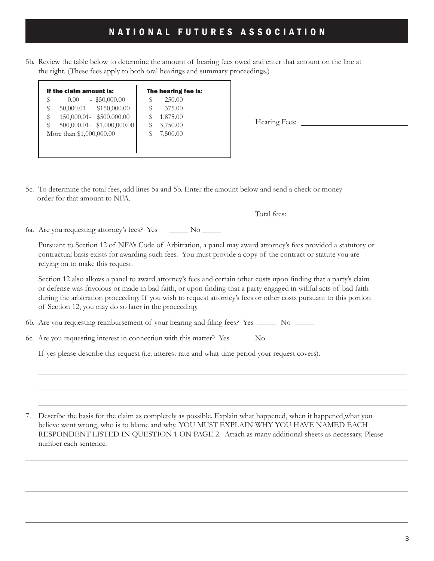5b. Review the table below to determine the amount of hearing fees owed and enter that amount on the line at the right. (These fees apply to both oral hearings and summary proceedings.)

| If the claim amount is:    | The hearing fee is: |
|----------------------------|---------------------|
| $-$ \$50,000.00            | 250.00              |
| 0.00 <sub>1</sub>          | S                   |
| $50,000.01 - $150,000.00$  | 375.00              |
| \$                         | S                   |
| 150,000.01- \$500,000.00   | 1,875.00            |
| \$                         | S                   |
| 500,000.01- \$1,000,000.00 | 3,750.00            |
| \$                         | S                   |
| More than \$1,000,000.00   | 7,500.00            |

Hearing Fees:

5c. To determine the total fees, add lines 5a and 5b. Enter the amount below and send a check or money order for that amount to NFA.

Total fees:

6a. Are you requesting attorney's fees? Yes \_\_\_\_\_\_ No \_\_

Pursuant to Section 12 of NFA's Code of Arbitration, a panel may award attorney's fees provided a statutory or contractual basis exists for awarding such fees. You must provide a copy of the contract or statute you are relying on to make this request.

 Section 12 also allows a panel to award attorney's fees and certain other costs upon finding that a party's claim or defense was frivolous or made in bad faith, or upon finding that a party engaged in willful acts of bad faith during the arbitration proceeding. If you wish to request attorney's fees or other costs pursuant to this portion of Section 12, you may do so later in the proceeding.

6b. Are you requesting reimbursement of your hearing and filing fees? Yes \_\_\_\_\_\_\_ No \_\_\_\_\_\_

6c. Are you requesting interest in connection with this matter? Yes \_\_\_\_\_\_\_\_ No \_\_\_\_\_\_

If yes please describe this request (i.e. interest rate and what time period your request covers).

7. Describe the basis for the claim as completely as possible. Explain what happened, when it happened,what you believe went wrong, who is to blame and why. YOU MUST EXPLAIN WHY YOU HAVE NAMED EACH RESPONDENT LISTED IN QUESTION 1 ON PAGE 2. Attach as many additional sheets as necessary. Please number each sentence.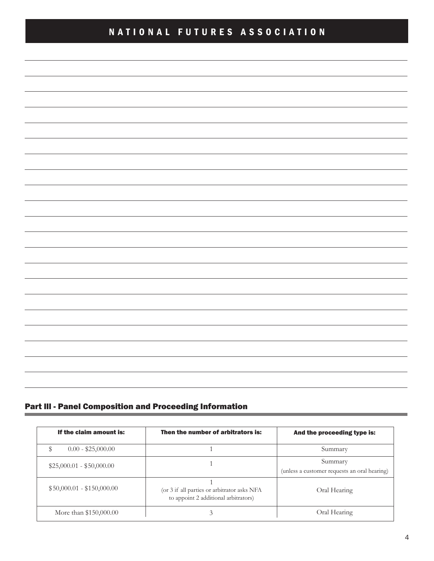| <u> 1989 - Andrea Barbara, Amerikaansk politik (* 1958)</u>                                                            |  |  |
|------------------------------------------------------------------------------------------------------------------------|--|--|
| <u> 2008 - Andrea Barbara, Amerikaansk politik en offisjele en oarloch fan de oarloch fan de oarloch fan de oarlo</u>  |  |  |
| <u> 1999 - Andrea Barbara, Amerikaansk politik (d. 1989)</u>                                                           |  |  |
|                                                                                                                        |  |  |
| <u> 2008 - Andrea Barbara, Amerikaansk politik (d. 1982)</u>                                                           |  |  |
| <u> 1989 - Johann Stoff, deutscher Stoffen und der Stoffen und der Stoffen und der Stoffen und der Stoffen und der</u> |  |  |
| <u> 1989 - Andrea Santa Alemania, amerikan berasal di sebagai berasal di sebagai berasal di sebagai berasal di se</u>  |  |  |
| <u> 2008 - Andrea San Andrea Andrea Andrea Andrea Andrea Andrea Andrea Andrea Andrea Andrea Andrea Andrea Andrea</u>   |  |  |
|                                                                                                                        |  |  |
| <u> 1989 - Andrea Santa Alemania, amerikan basar dan berasal dalam berasal dalam berasal dalam berasal dalam bera</u>  |  |  |
|                                                                                                                        |  |  |

### Part lll - Panel Composition and Proceeding Information

| If the claim amount is:    | Then the number of arbitrators is:                                                  | And the proceeding type is:                             |
|----------------------------|-------------------------------------------------------------------------------------|---------------------------------------------------------|
| $0.00 - $25,000.00$        |                                                                                     | Summary                                                 |
| $$25,000.01 - $50,000.00$  |                                                                                     | Summary<br>(unless a customer requests an oral hearing) |
| $$50,000.01 - $150,000.00$ | (or 3 if all parties or arbitrator asks NFA<br>to appoint 2 additional arbitrators) | Oral Hearing                                            |
| More than \$150,000.00     | 3                                                                                   | Oral Hearing                                            |

**State Committee**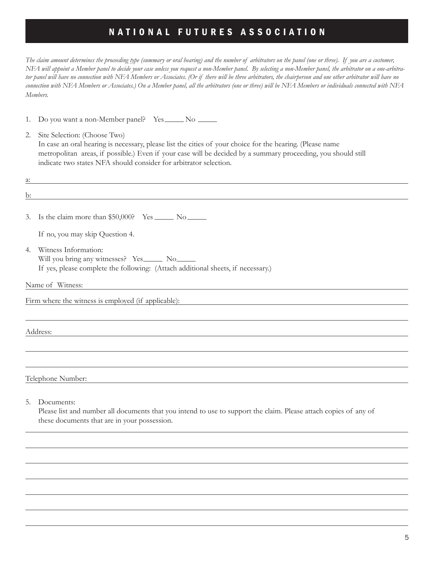*The claim amount determines the proceeding type (summary or oral hearing) and the number of arbitrators on the panel (one or three). If you are a customer, NFA will appoint a Member panel to decide your case unless you request a non-Member panel. By selecting a non-Member panel, the arbitrator on a one-arbitrator panel will have no connection with NFA Members or Associates. (Or if there will be three arbitrators, the chairperson and one other arbitrator will have no connection with NFA Members or Associates.) On a Member panel, all the arbitrators (one or three) will be NFA Members or individuals connected with NFA Members.* 

1. Do you want a non-Member panel? Yes No

2. Site Selection: (Choose Two) In case an oral hearing is necessary, please list the cities of your choice for the hearing. (Please name metropolitan areas, if possible.) Even if your case will be decided by a summary proceeding, you should still indicate two states NFA should consider for arbitrator selection.

| a: |                                                                                                                  |
|----|------------------------------------------------------------------------------------------------------------------|
| b: | and the control of the control of the control of the control of the control of the control of the control of the |
|    |                                                                                                                  |
|    | 3. Is the claim more than $$50,000$ ? Yes $\_\_\_\_\_\_\_\_\_\_\_\_\_\_\_\_\_\_\_\_\_\_\_\_\_\_\_\_\_\_$         |
|    | If no, you may skip Question 4.                                                                                  |
| 4. | Witness Information:                                                                                             |
|    | Will you bring any witnesses? Yes______ No______                                                                 |
|    | If yes, please complete the following: (Attach additional sheets, if necessary.)                                 |
|    | Name of Witness:                                                                                                 |
|    | Firm where the witness is employed (if applicable):                                                              |
|    |                                                                                                                  |
|    | Address:                                                                                                         |
|    |                                                                                                                  |
|    |                                                                                                                  |
|    | Telephone Number:                                                                                                |
|    |                                                                                                                  |
| 5. | Documents:                                                                                                       |

Please list and number all documents that you intend to use to support the claim. Please attach copies of any of these documents that are in your possession.